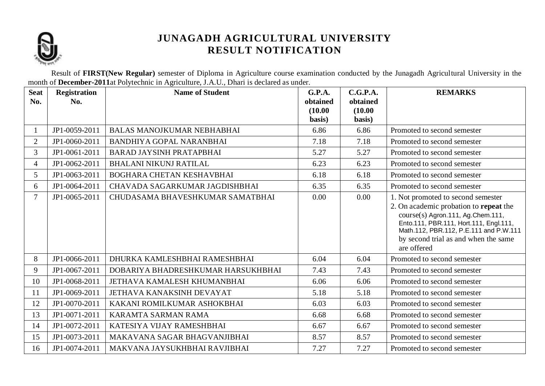

Result of **FIRST(New Regular)** semester of Diploma in Agriculture course examination conducted by the Junagadh Agricultural University in the month of **December-2011**at Polytechnic in Agriculture, J.A.U., Dhari is declared as under.

| <b>Seat</b><br>No. | <b>Registration</b><br>No. | <b>Name of Student</b>             | G.P.A.<br>obtained | C.G.P.A.<br>obtained | <b>REMARKS</b>                                                                   |
|--------------------|----------------------------|------------------------------------|--------------------|----------------------|----------------------------------------------------------------------------------|
|                    |                            |                                    | (10.00)<br>basis)  | (10.00)<br>basis)    |                                                                                  |
|                    | JP1-0059-2011              | <b>BALAS MANOJKUMAR NEBHABHAI</b>  | 6.86               | 6.86                 | Promoted to second semester                                                      |
| $\overline{2}$     | JP1-0060-2011              | <b>BANDHIYA GOPAL NARANBHAI</b>    | 7.18               | 7.18                 | Promoted to second semester                                                      |
| 3                  | JP1-0061-2011              | <b>BARAD JAYSINH PRATAPBHAI</b>    | 5.27               | 5.27                 | Promoted to second semester                                                      |
| $\overline{4}$     | JP1-0062-2011              | <b>BHALANI NIKUNJ RATILAL</b>      | 6.23               | 6.23                 | Promoted to second semester                                                      |
| 5                  | JP1-0063-2011              | BOGHARA CHETAN KESHAVBHAI          | 6.18               | 6.18                 | Promoted to second semester                                                      |
| 6                  | JP1-0064-2011              | CHAVADA SAGARKUMAR JAGDISHBHAI     | 6.35               | 6.35                 | Promoted to second semester                                                      |
| 7                  | JP1-0065-2011              | CHUDASAMA BHAVESHKUMAR SAMATBHAI   | 0.00               | 0.00                 | 1. Not promoted to second semester                                               |
|                    |                            |                                    |                    |                      | 2. On academic probation to repeat the<br>course(s) Agron.111, Ag.Chem.111,      |
|                    |                            |                                    |                    |                      | Ento.111, PBR.111, Hort.111, Engl.111,<br>Math.112, PBR.112, P.E.111 and P.W.111 |
|                    |                            |                                    |                    |                      | by second trial as and when the same<br>are offered                              |
| 8                  | JP1-0066-2011              | DHURKA KAMLESHBHAI RAMESHBHAI      | 6.04               | 6.04                 | Promoted to second semester                                                      |
| 9                  | JP1-0067-2011              | DOBARIYA BHADRESHKUMAR HARSUKHBHAI | 7.43               | 7.43                 | Promoted to second semester                                                      |
| 10                 | JP1-0068-2011              | <b>JETHAVA KAMALESH KHUMANBHAI</b> | 6.06               | 6.06                 | Promoted to second semester                                                      |
| 11                 | JP1-0069-2011              | JETHAVA KANAKSINH DEVAYAT          | 5.18               | 5.18                 | Promoted to second semester                                                      |
| 12                 | JP1-0070-2011              | KAKANI ROMILKUMAR ASHOKBHAI        | 6.03               | 6.03                 | Promoted to second semester                                                      |
| 13                 | JP1-0071-2011              | KARAMTA SARMAN RAMA                | 6.68               | 6.68                 | Promoted to second semester                                                      |
| 14                 | JP1-0072-2011              | KATESIYA VIJAY RAMESHBHAI          | 6.67               | 6.67                 | Promoted to second semester                                                      |
| 15                 | JP1-0073-2011              | MAKAVANA SAGAR BHAGVANJIBHAI       | 8.57               | 8.57                 | Promoted to second semester                                                      |
| 16                 | JP1-0074-2011              | MAKVANA JAYSUKHBHAI RAVJIBHAI      | 7.27               | 7.27                 | Promoted to second semester                                                      |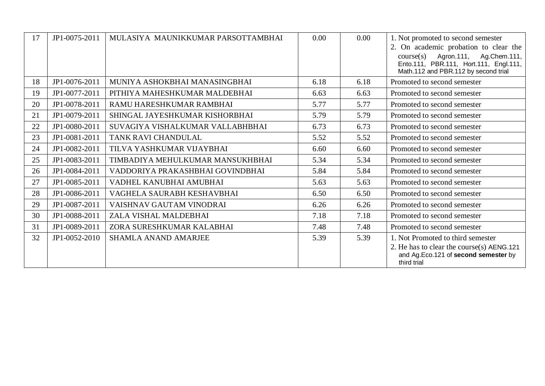| 17 | JP1-0075-2011 | MULASIYA MAUNIKKUMAR PARSOTTAMBHAI | 0.00 | 0.00 | 1. Not promoted to second semester<br>2. On academic probation to clear the<br>$course(s)$ Agron.111, Ag.Chem.111,<br>Ento.111, PBR.111, Hort.111, Engl.111,<br>Math.112 and PBR.112 by second trial |
|----|---------------|------------------------------------|------|------|------------------------------------------------------------------------------------------------------------------------------------------------------------------------------------------------------|
| 18 | JP1-0076-2011 | MUNIYA ASHOKBHAI MANASINGBHAI      | 6.18 | 6.18 | Promoted to second semester                                                                                                                                                                          |
| 19 | JP1-0077-2011 | PITHIYA MAHESHKUMAR MALDEBHAI      | 6.63 | 6.63 | Promoted to second semester                                                                                                                                                                          |
| 20 | JP1-0078-2011 | RAMU HARESHKUMAR RAMBHAI           | 5.77 | 5.77 | Promoted to second semester                                                                                                                                                                          |
| 21 | JP1-0079-2011 | SHINGAL JAYESHKUMAR KISHORBHAI     | 5.79 | 5.79 | Promoted to second semester                                                                                                                                                                          |
| 22 | JP1-0080-2011 | SUVAGIYA VISHALKUMAR VALLABHBHAI   | 6.73 | 6.73 | Promoted to second semester                                                                                                                                                                          |
| 23 | JP1-0081-2011 | TANK RAVI CHANDULAL                | 5.52 | 5.52 | Promoted to second semester                                                                                                                                                                          |
| 24 | JP1-0082-2011 | TILVA YASHKUMAR VIJAYBHAI          | 6.60 | 6.60 | Promoted to second semester                                                                                                                                                                          |
| 25 | JP1-0083-2011 | TIMBADIYA MEHULKUMAR MANSUKHBHAI   | 5.34 | 5.34 | Promoted to second semester                                                                                                                                                                          |
| 26 | JP1-0084-2011 | VADDORIYA PRAKASHBHAI GOVINDBHAI   | 5.84 | 5.84 | Promoted to second semester                                                                                                                                                                          |
| 27 | JP1-0085-2011 | VADHEL KANUBHAI AMUBHAI            | 5.63 | 5.63 | Promoted to second semester                                                                                                                                                                          |
| 28 | JP1-0086-2011 | VAGHELA SAURABH KESHAVBHAI         | 6.50 | 6.50 | Promoted to second semester                                                                                                                                                                          |
| 29 | JP1-0087-2011 | VAISHNAV GAUTAM VINODRAI           | 6.26 | 6.26 | Promoted to second semester                                                                                                                                                                          |
| 30 | JP1-0088-2011 | ZALA VISHAL MALDEBHAI              | 7.18 | 7.18 | Promoted to second semester                                                                                                                                                                          |
| 31 | JP1-0089-2011 | ZORA SURESHKUMAR KALABHAI          | 7.48 | 7.48 | Promoted to second semester                                                                                                                                                                          |
| 32 | JP1-0052-2010 | SHAMLA ANAND AMARJEE               | 5.39 | 5.39 | 1. Not Promoted to third semester<br>2. He has to clear the course(s) AENG.121<br>and Ag.Eco.121 of second semester by<br>third trial                                                                |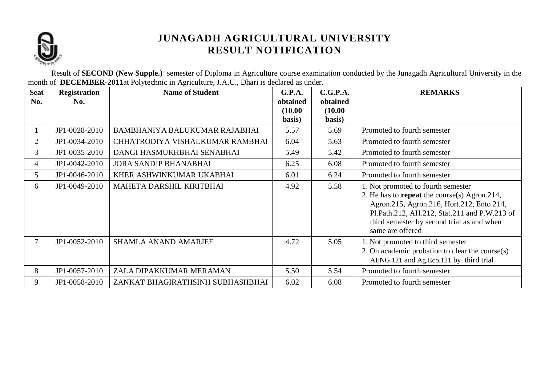

Result of **SECOND (New Supple.)** semester of Diploma in Agriculture course examination conducted by the Junagadh Agricultural University in the month of **DECEMBER-2011**at Polytechnic in Agriculture, J.A.U., Dhari is declared as under.

| <b>Seat</b><br>No. | <b>Registration</b><br>No. | <b>Name of Student</b>           | <b>G.P.A.</b><br>obtained | C.G.P.A.<br>obtained | <b>REMARKS</b>                                                                                                                                                                                                                                           |
|--------------------|----------------------------|----------------------------------|---------------------------|----------------------|----------------------------------------------------------------------------------------------------------------------------------------------------------------------------------------------------------------------------------------------------------|
|                    |                            |                                  | (10.00)<br>basis)         | (10.00)<br>basis)    |                                                                                                                                                                                                                                                          |
|                    | JP1-0028-2010              | BAMBHANIYA BALUKUMAR RAJABHAI    | 5.57                      | 5.69                 | Promoted to fourth semester                                                                                                                                                                                                                              |
| $\overline{2}$     | JP1-0034-2010              | CHHATRODIYA VISHALKUMAR RAMBHAI  | 6.04                      | 5.63                 | Promoted to fourth semester                                                                                                                                                                                                                              |
| $\overline{3}$     | JP1-0035-2010              | DANGI HASMUKHBHAI SENABHAI       | 5.49                      | 5.42                 | Promoted to fourth semester                                                                                                                                                                                                                              |
| 4                  | JP1-0042-2010              | <b>JORA SANDIP BHANABHAI</b>     | 6.25                      | 6.08                 | Promoted to fourth semester                                                                                                                                                                                                                              |
| 5                  | JP1-0046-2010              | KHER ASHWINKUMAR UKABHAI         | 6.01                      | 6.24                 | Promoted to fourth semester                                                                                                                                                                                                                              |
| 6                  | JP1-0049-2010              | MAHETA DARSHIL KIRITBHAI         | 4.92                      | 5.58                 | 1. Not promoted to fourth semester<br>2. He has to <b>repeat</b> the course(s) Agron.214,<br>Agron.215, Agron.216, Hort.212, Ento.214,<br>Pl.Path.212, AH.212, Stat.211 and P.W.213 of<br>third semester by second trial as and when<br>same are offered |
| 7                  | JP1-0052-2010              | <b>SHAMLA ANAND AMARJEE</b>      | 4.72                      | 5.05                 | 1. Not promoted to third semester<br>2. On academic probation to clear the course(s)<br>AENG.121 and Ag.Eco.121 by third trial                                                                                                                           |
| 8                  | JP1-0057-2010              | ZALA DIPAKKUMAR MERAMAN          | 5.50                      | 5.54                 | Promoted to fourth semester                                                                                                                                                                                                                              |
| 9                  | JP1-0058-2010              | ZANKAT BHAGIRATHSINH SUBHASHBHAI | 6.02                      | 6.08                 | Promoted to fourth semester                                                                                                                                                                                                                              |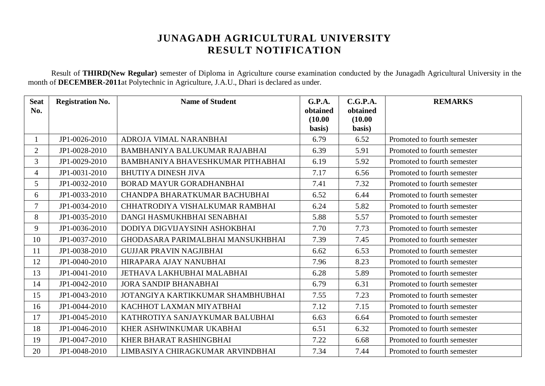Result of **THIRD(New Regular)** semester of Diploma in Agriculture course examination conducted by the Junagadh Agricultural University in the month of **DECEMBER-2011**at Polytechnic in Agriculture, J.A.U., Dhari is declared as under.

| <b>Seat</b><br>No. | <b>Registration No.</b> | <b>Name of Student</b>            | G.P.A.<br>obtained | C.G.P.A.<br>obtained | <b>REMARKS</b>              |
|--------------------|-------------------------|-----------------------------------|--------------------|----------------------|-----------------------------|
|                    |                         |                                   | (10.00)            | (10.00)              |                             |
|                    |                         |                                   | basis)             | basis)               |                             |
| 1                  | JP1-0026-2010           | ADROJA VIMAL NARANBHAI            | 6.79               | 6.52                 | Promoted to fourth semester |
| $\overline{2}$     | JP1-0028-2010           | BAMBHANIYA BALUKUMAR RAJABHAI     | 6.39               | 5.91                 | Promoted to fourth semester |
| 3                  | JP1-0029-2010           | BAMBHANIYA BHAVESHKUMAR PITHABHAI | 6.19               | 5.92                 | Promoted to fourth semester |
| $\overline{4}$     | JP1-0031-2010           | <b>BHUTIYA DINESH JIVA</b>        | 7.17               | 6.56                 | Promoted to fourth semester |
| 5                  | JP1-0032-2010           | BORAD MAYUR GORADHANBHAI          | 7.41               | 7.32                 | Promoted to fourth semester |
| 6                  | JP1-0033-2010           | CHANDPA BHARATKUMAR BACHUBHAI     | 6.52               | 6.44                 | Promoted to fourth semester |
| $\overline{7}$     | JP1-0034-2010           | CHHATRODIYA VISHALKUMAR RAMBHAI   | 6.24               | 5.82                 | Promoted to fourth semester |
| 8                  | JP1-0035-2010           | DANGI HASMUKHBHAI SENABHAI        | 5.88               | 5.57                 | Promoted to fourth semester |
| 9                  | JP1-0036-2010           | DODIYA DIGVIJAYSINH ASHOKBHAI     | 7.70               | 7.73                 | Promoted to fourth semester |
| 10                 | JP1-0037-2010           | GHODASARA PARIMALBHAI MANSUKHBHAI | 7.39               | 7.45                 | Promoted to fourth semester |
| 11                 | JP1-0038-2010           | <b>GUJJAR PRAVIN NAGJIBHAI</b>    | 6.62               | 6.53                 | Promoted to fourth semester |
| 12                 | JP1-0040-2010           | HIRAPARA AJAY NANUBHAI            | 7.96               | 8.23                 | Promoted to fourth semester |
| 13                 | JP1-0041-2010           | JETHAVA LAKHUBHAI MALABHAI        | 6.28               | 5.89                 | Promoted to fourth semester |
| 14                 | JP1-0042-2010           | <b>JORA SANDIP BHANABHAI</b>      | 6.79               | 6.31                 | Promoted to fourth semester |
| 15                 | JP1-0043-2010           | JOTANGIYA KARTIKKUMAR SHAMBHUBHAI | 7.55               | 7.23                 | Promoted to fourth semester |
| 16                 | JP1-0044-2010           | KACHHOT LAXMAN MIYATBHAI          | 7.12               | 7.15                 | Promoted to fourth semester |
| 17                 | JP1-0045-2010           | KATHROTIYA SANJAYKUMAR BALUBHAI   | 6.63               | 6.64                 | Promoted to fourth semester |
| 18                 | JP1-0046-2010           | KHER ASHWINKUMAR UKABHAI          | 6.51               | 6.32                 | Promoted to fourth semester |
| 19                 | JP1-0047-2010           | KHER BHARAT RASHINGBHAI           | 7.22               | 6.68                 | Promoted to fourth semester |
| 20                 | JP1-0048-2010           | LIMBASIYA CHIRAGKUMAR ARVINDBHAI  | 7.34               | 7.44                 | Promoted to fourth semester |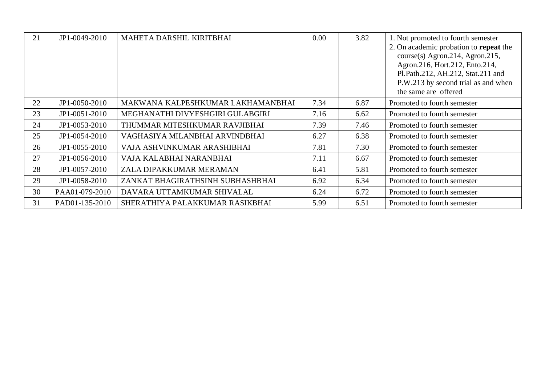| 21 | JP1-0049-2010  | MAHETA DARSHIL KIRITBHAI          | 0.00 | 3.82 | 1. Not promoted to fourth semester<br>2. On academic probation to repeat the<br>course(s) Agron.214, Agron.215,<br>Agron.216, Hort.212, Ento.214,<br>Pl.Path.212, AH.212, Stat.211 and<br>P.W.213 by second trial as and when<br>the same are offered |
|----|----------------|-----------------------------------|------|------|-------------------------------------------------------------------------------------------------------------------------------------------------------------------------------------------------------------------------------------------------------|
| 22 | JP1-0050-2010  | MAKWANA KALPESHKUMAR LAKHAMANBHAI | 7.34 | 6.87 | Promoted to fourth semester                                                                                                                                                                                                                           |
| 23 | JP1-0051-2010  | MEGHANATHI DIVYESHGIRI GULABGIRI  | 7.16 | 6.62 | Promoted to fourth semester                                                                                                                                                                                                                           |
| 24 | JP1-0053-2010  | THUMMAR MITESHKUMAR RAVJIBHAI     | 7.39 | 7.46 | Promoted to fourth semester                                                                                                                                                                                                                           |
| 25 | JP1-0054-2010  | VAGHASIYA MILANBHAI ARVINDBHAI    | 6.27 | 6.38 | Promoted to fourth semester                                                                                                                                                                                                                           |
| 26 | JP1-0055-2010  | VAJA ASHVINKUMAR ARASHIBHAI       | 7.81 | 7.30 | Promoted to fourth semester                                                                                                                                                                                                                           |
| 27 | JP1-0056-2010  | VAJA KALABHAI NARANBHAI           | 7.11 | 6.67 | Promoted to fourth semester                                                                                                                                                                                                                           |
| 28 | JP1-0057-2010  | ZALA DIPAKKUMAR MERAMAN           | 6.41 | 5.81 | Promoted to fourth semester                                                                                                                                                                                                                           |
| 29 | JP1-0058-2010  | ZANKAT BHAGIRATHSINH SUBHASHBHAI  | 6.92 | 6.34 | Promoted to fourth semester                                                                                                                                                                                                                           |
| 30 | PAA01-079-2010 | DAVARA UTTAMKUMAR SHIVALAL        | 6.24 | 6.72 | Promoted to fourth semester                                                                                                                                                                                                                           |
| 31 | PAD01-135-2010 | SHERATHIYA PALAKKUMAR RASIKBHAI   | 5.99 | 6.51 | Promoted to fourth semester                                                                                                                                                                                                                           |